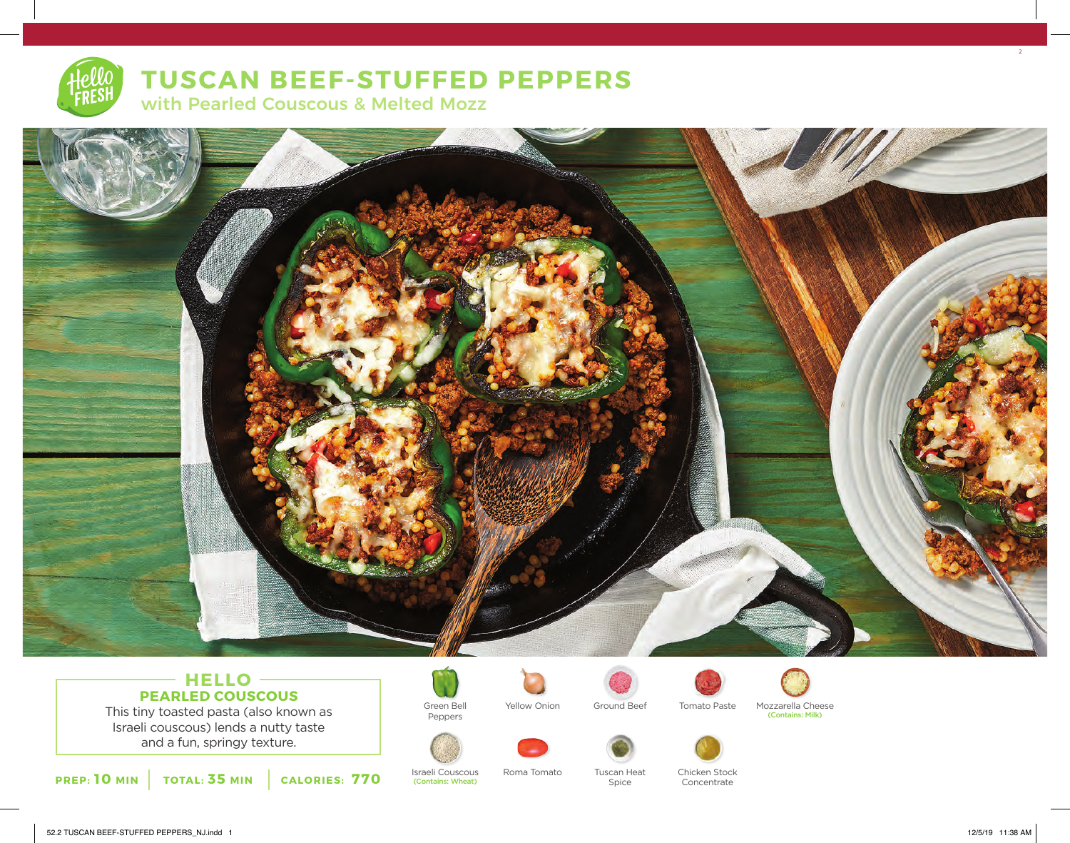# **TUSCAN BEEF-STUFFED PEPPERS**

with Pearled Couscous & Melted Mozz



# **HELLO PEARLED COUSCOUS**

This tiny toasted pasta (also known as Israeli couscous) lends a nutty taste and a fun, springy texture.



Israeli Couscous (Contains: Wheat)

Green Bell Peppers



Yellow Onion



Spice



Ground Beef Tomato Paste Mozzarella Cheese (Contains: Milk)





Chicken Stock Concentrate

2